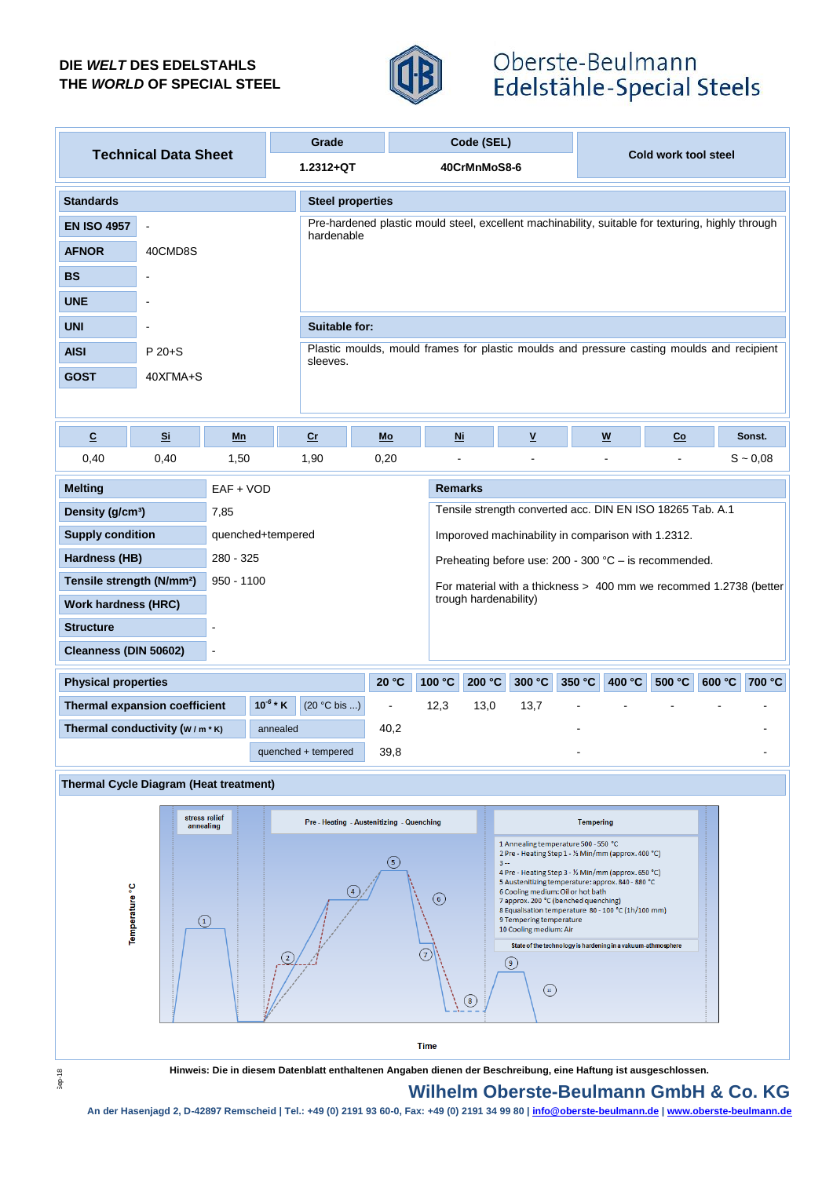## **DIE** *WELT* **DES EDELSTAHLS THE** *WORLD* **OF SPECIAL STEEL**



# Oberste-Beulmann Edelstähle-Special Steels

|                                                       |                |                         | Grade          |                                                                                                   | Code (SEL)     |                      |                                                                                                                       |                                                                                                                                |        |        |        |               |  |  |
|-------------------------------------------------------|----------------|-------------------------|----------------|---------------------------------------------------------------------------------------------------|----------------|----------------------|-----------------------------------------------------------------------------------------------------------------------|--------------------------------------------------------------------------------------------------------------------------------|--------|--------|--------|---------------|--|--|
| <b>Technical Data Sheet</b>                           | 1.2312+QT      | 40CrMnMoS8-6            |                |                                                                                                   |                | Cold work tool steel |                                                                                                                       |                                                                                                                                |        |        |        |               |  |  |
| <b>Standards</b>                                      |                | <b>Steel properties</b> |                |                                                                                                   |                |                      |                                                                                                                       |                                                                                                                                |        |        |        |               |  |  |
| <b>EN ISO 4957</b>                                    | L.             |                         |                | Pre-hardened plastic mould steel, excellent machinability, suitable for texturing, highly through |                |                      |                                                                                                                       |                                                                                                                                |        |        |        |               |  |  |
| <b>AFNOR</b>                                          | 40CMD8S        |                         |                | hardenable                                                                                        |                |                      |                                                                                                                       |                                                                                                                                |        |        |        |               |  |  |
| <b>BS</b>                                             | $\overline{a}$ |                         |                |                                                                                                   |                |                      |                                                                                                                       |                                                                                                                                |        |        |        |               |  |  |
| <b>UNE</b>                                            |                |                         |                |                                                                                                   |                |                      |                                                                                                                       |                                                                                                                                |        |        |        |               |  |  |
| <b>UNI</b>                                            | $\overline{a}$ |                         |                | <b>Suitable for:</b>                                                                              |                |                      |                                                                                                                       |                                                                                                                                |        |        |        |               |  |  |
| <b>AISI</b>                                           | $P 20 + S$     |                         |                | Plastic moulds, mould frames for plastic moulds and pressure casting moulds and recipient         |                |                      |                                                                                                                       |                                                                                                                                |        |        |        |               |  |  |
| <b>GOST</b>                                           | 40XFMA+S       |                         | sleeves.       |                                                                                                   |                |                      |                                                                                                                       |                                                                                                                                |        |        |        |               |  |  |
|                                                       |                |                         |                |                                                                                                   |                |                      |                                                                                                                       |                                                                                                                                |        |        |        |               |  |  |
| $\overline{c}$                                        | Si             | Mn                      | cr             | Mo                                                                                                | N <sub>i</sub> |                      | $\underline{\mathsf{v}}$                                                                                              |                                                                                                                                | W      | Co     |        | Sonst.        |  |  |
| 0,40                                                  | 0,40           | 1,50                    | 1,90           | 0,20                                                                                              |                |                      |                                                                                                                       |                                                                                                                                |        |        |        | $S \sim 0.08$ |  |  |
| <b>Melting</b>                                        | EAF + VOD      | <b>Remarks</b>          |                |                                                                                                   |                |                      |                                                                                                                       |                                                                                                                                |        |        |        |               |  |  |
| Density (g/cm <sup>3</sup> )                          |                | 7,85                    |                | Tensile strength converted acc. DIN EN ISO 18265 Tab. A.1                                         |                |                      |                                                                                                                       |                                                                                                                                |        |        |        |               |  |  |
| <b>Supply condition</b><br>quenched+tempered          |                |                         |                | Imporoved machinability in comparison with 1.2312.                                                |                |                      |                                                                                                                       |                                                                                                                                |        |        |        |               |  |  |
| Hardness (HB)                                         |                | 280 - 325               |                | Preheating before use: $200 - 300$ °C – is recommended.                                           |                |                      |                                                                                                                       |                                                                                                                                |        |        |        |               |  |  |
| Tensile strength (N/mm <sup>2</sup> )<br>$950 - 1100$ |                |                         |                | For material with a thickness > 400 mm we recommed 1.2738 (better<br>trough hardenability)        |                |                      |                                                                                                                       |                                                                                                                                |        |        |        |               |  |  |
| <b>Work hardness (HRC)</b>                            |                |                         |                |                                                                                                   |                |                      |                                                                                                                       |                                                                                                                                |        |        |        |               |  |  |
| <b>Structure</b>                                      |                | $\blacksquare$          |                |                                                                                                   |                |                      |                                                                                                                       |                                                                                                                                |        |        |        |               |  |  |
| Cleanness (DIN 50602)                                 |                | $\overline{a}$          |                |                                                                                                   |                |                      |                                                                                                                       |                                                                                                                                |        |        |        |               |  |  |
| <b>Physical properties</b>                            |                |                         |                | 20 °C                                                                                             | 100 °C         | 200 °C               | 300 °C                                                                                                                | 350 °C                                                                                                                         | 400 °C | 500 °C | 600 °C | 700 °C        |  |  |
| $10^{-6}$ * K<br>Thermal expansion coefficient        |                |                         | $(20 °C$ bis ) |                                                                                                   | 12,3           | 13,0                 | 13,7                                                                                                                  |                                                                                                                                |        |        |        |               |  |  |
| Thermal conductivity (W/m*K)<br>annealed              |                |                         |                | 40,2                                                                                              |                |                      |                                                                                                                       |                                                                                                                                |        |        |        |               |  |  |
| 39,8<br>quenched + tempered                           |                |                         |                |                                                                                                   |                |                      |                                                                                                                       |                                                                                                                                |        |        |        |               |  |  |
| <b>Thermal Cycle Diagram (Heat treatment)</b>         |                |                         |                |                                                                                                   |                |                      |                                                                                                                       |                                                                                                                                |        |        |        |               |  |  |
| stress relief<br>annealing                            |                |                         |                | Pre - Heating - Austenitizing - Quenching                                                         |                |                      |                                                                                                                       | <b>Tempering</b>                                                                                                               |        |        |        |               |  |  |
|                                                       |                |                         |                |                                                                                                   |                |                      | 1 Annealing temperature 500 - 550 °C                                                                                  |                                                                                                                                |        |        |        |               |  |  |
|                                                       |                |                         |                | (5)                                                                                               |                |                      | 2 Pre - Heating Step 1 - 1/2 Min/mm (approx. 400 °C)<br>$3 -$<br>4 Pre - Heating Step 3 - 1/2 Min/mm (approx. 650 °C) |                                                                                                                                |        |        |        |               |  |  |
|                                                       |                |                         |                | $\circled{6}$                                                                                     |                |                      |                                                                                                                       | 5 Austenitizing temperature: approx. 840 - 880 °C<br>6 Cooling medium: Oil or hot bath<br>7 approx. 200 °C (benched quenching) |        |        |        |               |  |  |
| Temperature <sup>°C</sup><br>$\left( 1 \right)$       |                |                         |                | 8 Equalisation temperature 80 - 100 °C (1h/100 mm)<br>9 Tempering temperature                     |                |                      |                                                                                                                       |                                                                                                                                |        |        |        |               |  |  |
|                                                       |                |                         |                |                                                                                                   |                |                      | 10 Cooling medium: Air                                                                                                | State of the technology is hardening in a vakuum-athmosphere                                                                   |        |        |        |               |  |  |

State of the technology is hardening in a vakuum-athmosphere

 $\odot$ 

 $\bigodot$  $\binom{8}{ }$ 

 $\sqrt{ }$ 

**Time** 

Sep-18

**Hinweis: Die in diesem Datenblatt enthaltenen Angaben dienen der Beschreibung, eine Haftung ist ausgeschlossen.**

## **Wilhelm Oberste-Beulmann GmbH & Co. KG**

**An der Hasenjagd 2, D-42897 Remscheid | Tel.: +49 (0) 2191 93 60-0, Fax: +49 (0) 2191 34 99 80 | info@oberste-beulmann.de | www.oberste-beulmann.de**